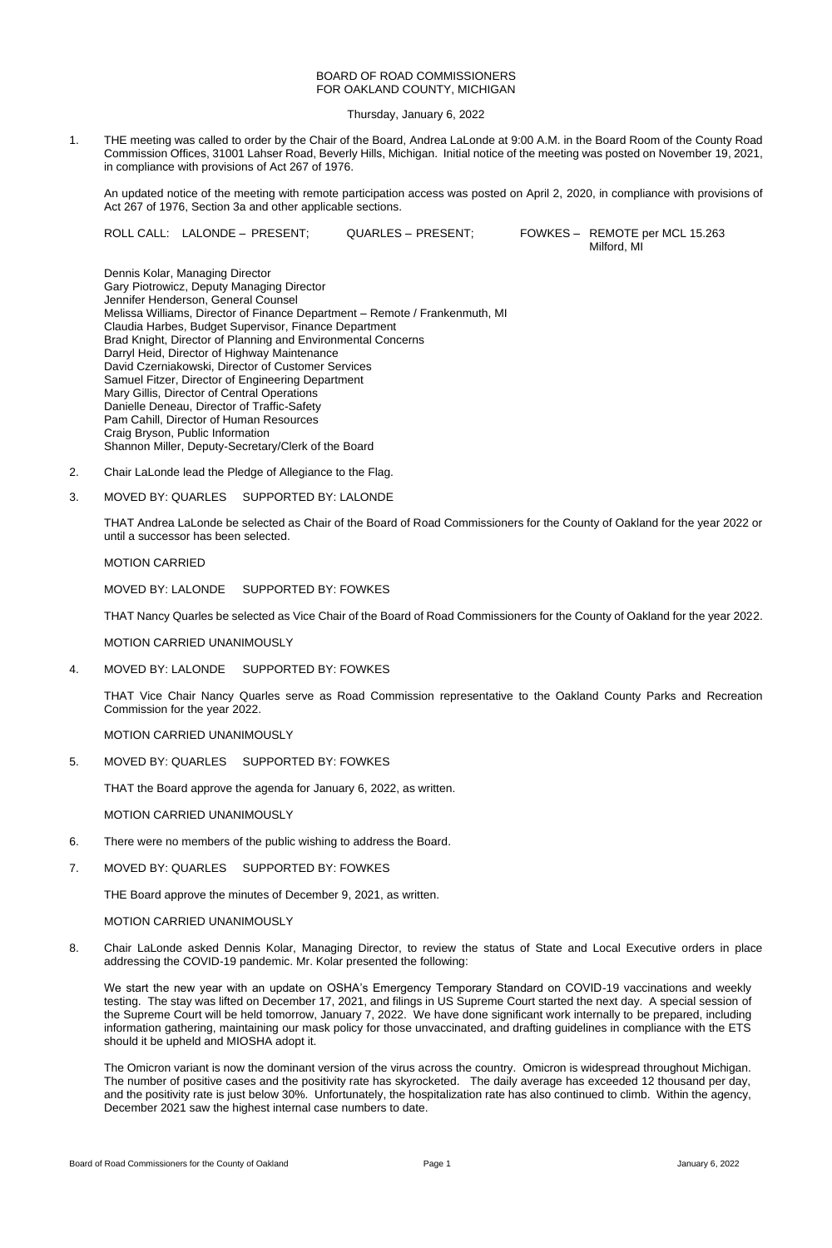# BOARD OF ROAD COMMISSIONERS FOR OAKLAND COUNTY, MICHIGAN

Thursday, January 6, 2022

1. THE meeting was called to order by the Chair of the Board, Andrea LaLonde at 9:00 A.M. in the Board Room of the County Road Commission Offices, 31001 Lahser Road, Beverly Hills, Michigan. Initial notice of the meeting was posted on November 19, 2021, in compliance with provisions of Act 267 of 1976.

An updated notice of the meeting with remote participation access was posted on April 2, 2020, in compliance with provisions of Act 267 of 1976, Section 3a and other applicable sections.

ROLL CALL: LALONDE – PRESENT; QUARLES – PRESENT; FOWKES – REMOTE per MCL 15.263

Milford, MI

Dennis Kolar, Managing Director Gary Piotrowicz, Deputy Managing Director Jennifer Henderson, General Counsel Melissa Williams, Director of Finance Department – Remote / Frankenmuth, MI Claudia Harbes, Budget Supervisor, Finance Department Brad Knight, Director of Planning and Environmental Concerns Darryl Heid, Director of Highway Maintenance David Czerniakowski, Director of Customer Services Samuel Fitzer, Director of Engineering Department Mary Gillis, Director of Central Operations Danielle Deneau, Director of Traffic-Safety Pam Cahill, Director of Human Resources Craig Bryson, Public Information Shannon Miller, Deputy-Secretary/Clerk of the Board

- 2. Chair LaLonde lead the Pledge of Allegiance to the Flag.
- 3. MOVED BY: QUARLES SUPPORTED BY: LALONDE

THAT Andrea LaLonde be selected as Chair of the Board of Road Commissioners for the County of Oakland for the year 2022 or until a successor has been selected.

# MOTION CARRIED

MOVED BY: LALONDE SUPPORTED BY: FOWKES

THAT Nancy Quarles be selected as Vice Chair of the Board of Road Commissioners for the County of Oakland for the year 2022.

MOTION CARRIED UNANIMOUSLY

4. MOVED BY: LALONDE SUPPORTED BY: FOWKES

THAT Vice Chair Nancy Quarles serve as Road Commission representative to the Oakland County Parks and Recreation Commission for the year 2022.

MOTION CARRIED UNANIMOUSLY

5. MOVED BY: QUARLES SUPPORTED BY: FOWKES

THAT the Board approve the agenda for January 6, 2022, as written.

MOTION CARRIED UNANIMOUSLY

- 6. There were no members of the public wishing to address the Board.
- 7. MOVED BY: QUARLES SUPPORTED BY: FOWKES

THE Board approve the minutes of December 9, 2021, as written.

# MOTION CARRIED UNANIMOUSLY

8. Chair LaLonde asked Dennis Kolar, Managing Director, to review the status of State and Local Executive orders in place addressing the COVID-19 pandemic. Mr. Kolar presented the following:

We start the new year with an update on OSHA's Emergency Temporary Standard on COVID-19 vaccinations and weekly testing. The stay was lifted on December 17, 2021, and filings in US Supreme Court started the next day. A special session of the Supreme Court will be held tomorrow, January 7, 2022. We have done significant work internally to be prepared, including information gathering, maintaining our mask policy for those unvaccinated, and drafting guidelines in compliance with the ETS should it be upheld and MIOSHA adopt it.

The Omicron variant is now the dominant version of the virus across the country. Omicron is widespread throughout Michigan. The number of positive cases and the positivity rate has skyrocketed. The daily average has exceeded 12 thousand per day, and the positivity rate is just below 30%. Unfortunately, the hospitalization rate has also continued to climb. Within the agency, December 2021 saw the highest internal case numbers to date.

Board of Road Commissioners for the County of Oakland **Page 1** Page 1 January 6, 2022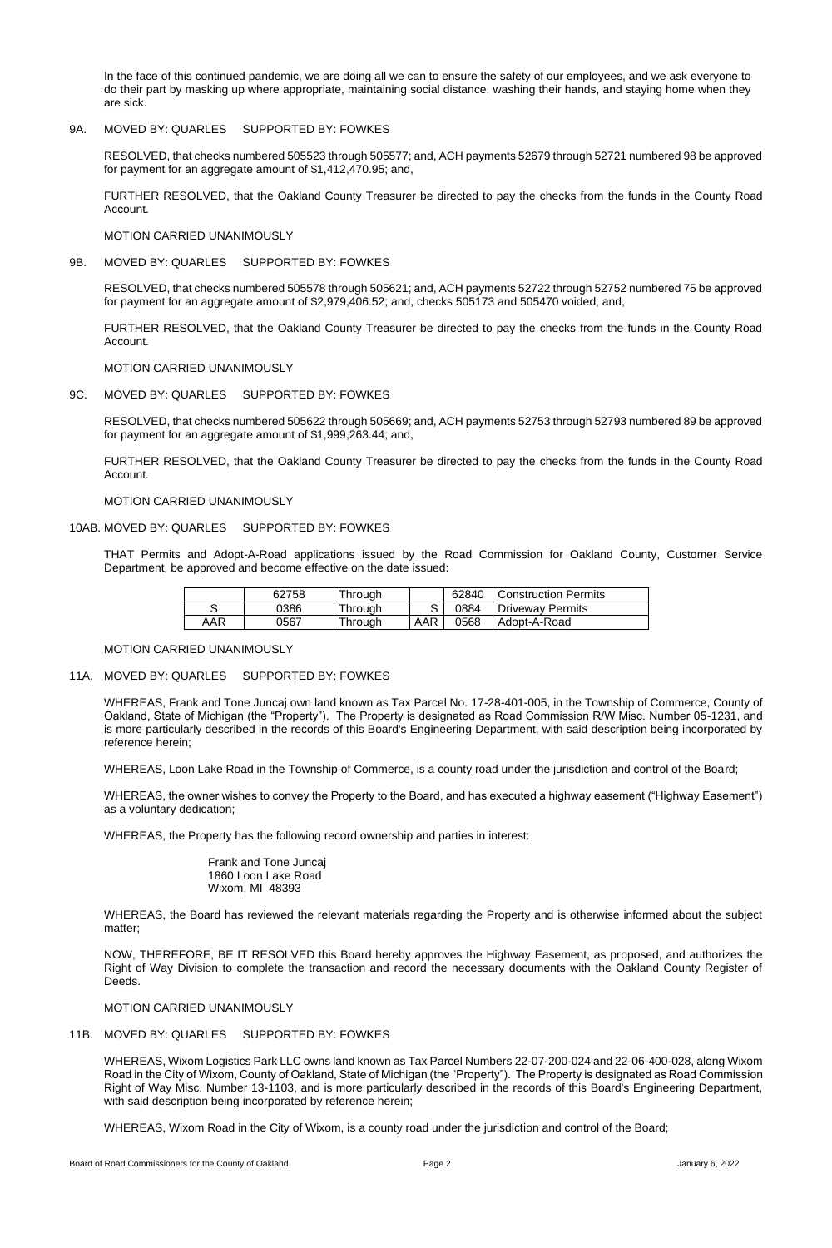In the face of this continued pandemic, we are doing all we can to ensure the safety of our employees, and we ask everyone to do their part by masking up where appropriate, maintaining social distance, washing their hands, and staying home when they are sick.

# 9A. MOVED BY: QUARLES SUPPORTED BY: FOWKES

RESOLVED, that checks numbered 505523 through 505577; and, ACH payments 52679 through 52721 numbered 98 be approved for payment for an aggregate amount of \$1,412,470.95; and,

FURTHER RESOLVED, that the Oakland County Treasurer be directed to pay the checks from the funds in the County Road Account.

MOTION CARRIED UNANIMOUSLY

9B. MOVED BY: QUARLES SUPPORTED BY: FOWKES

RESOLVED, that checks numbered 505578 through 505621; and, ACH payments 52722 through 52752 numbered 75 be approved for payment for an aggregate amount of \$2,979,406.52; and, checks 505173 and 505470 voided; and,

FURTHER RESOLVED, that the Oakland County Treasurer be directed to pay the checks from the funds in the County Road Account.

MOTION CARRIED UNANIMOUSLY

9C. MOVED BY: QUARLES SUPPORTED BY: FOWKES

RESOLVED, that checks numbered 505622 through 505669; and, ACH payments 52753 through 52793 numbered 89 be approved for payment for an aggregate amount of \$1,999,263.44; and,

FURTHER RESOLVED, that the Oakland County Treasurer be directed to pay the checks from the funds in the County Road Account.

MOTION CARRIED UNANIMOUSLY

# 10AB. MOVED BY: QUARLES SUPPORTED BY: FOWKES

THAT Permits and Adopt-A-Road applications issued by the Road Commission for Oakland County, Customer Service Department, be approved and become effective on the date issued:

|     | 62758 | <b>Through</b> |     | 62840 | Construction Permits |
|-----|-------|----------------|-----|-------|----------------------|
|     | 0386  | <b>Through</b> |     | 0884  | Driveway Permits     |
| AAR | 0567  | Through        | AAR | 0568  | Adopt-A-Road         |

#### MOTION CARRIED UNANIMOUSLY

# 11A. MOVED BY: QUARLES SUPPORTED BY: FOWKES

WHEREAS, Frank and Tone Juncaj own land known as Tax Parcel No. 17-28-401-005, in the Township of Commerce, County of Oakland, State of Michigan (the "Property"). The Property is designated as Road Commission R/W Misc. Number 05-1231, and is more particularly described in the records of this Board's Engineering Department, with said description being incorporated by reference herein;

WHEREAS, Loon Lake Road in the Township of Commerce, is a county road under the jurisdiction and control of the Board;

WHEREAS, the owner wishes to convey the Property to the Board, and has executed a highway easement ("Highway Easement") as a voluntary dedication;

WHEREAS, the Property has the following record ownership and parties in interest:

Frank and Tone Juncaj

1860 Loon Lake Road Wixom, MI 48393

WHEREAS, the Board has reviewed the relevant materials regarding the Property and is otherwise informed about the subject matter;

NOW, THEREFORE, BE IT RESOLVED this Board hereby approves the Highway Easement, as proposed, and authorizes the Right of Way Division to complete the transaction and record the necessary documents with the Oakland County Register of Deeds.

MOTION CARRIED UNANIMOUSLY

# 11B. MOVED BY: QUARLES SUPPORTED BY: FOWKES

WHEREAS, Wixom Logistics Park LLC owns land known as Tax Parcel Numbers 22-07-200-024 and 22-06-400-028, along Wixom Road in the City of Wixom, County of Oakland, State of Michigan (the "Property"). The Property is designated as Road Commission Right of Way Misc. Number 13-1103, and is more particularly described in the records of this Board's Engineering Department, with said description being incorporated by reference herein;

WHEREAS, Wixom Road in the City of Wixom, is a county road under the jurisdiction and control of the Board;

Board of Road Commissioners for the County of Oakland **Page 2** Page 2 January 6, 2022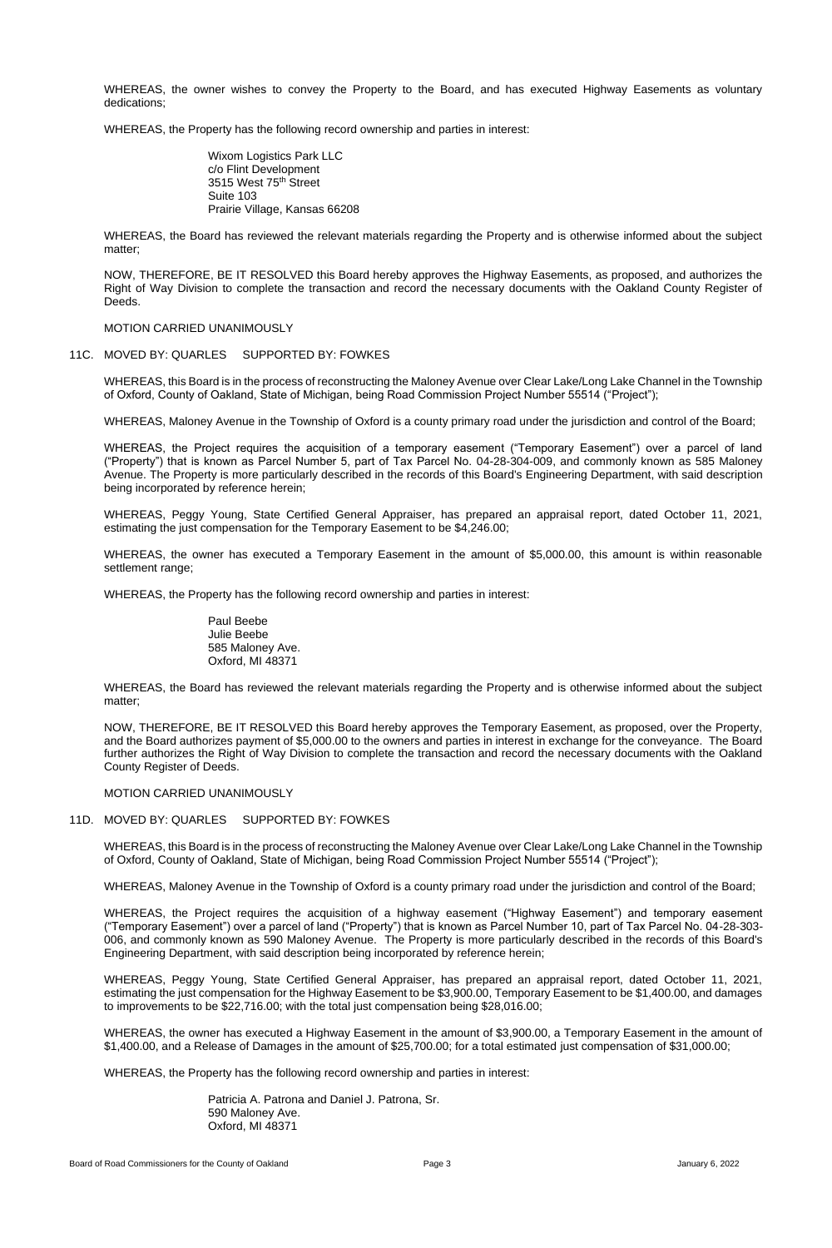WHEREAS, the owner wishes to convey the Property to the Board, and has executed Highway Easements as voluntary dedications;

WHEREAS, the Property has the following record ownership and parties in interest:

Wixom Logistics Park LLC c/o Flint Development 3515 West 75<sup>th</sup> Street Suite 103 Prairie Village, Kansas 66208

WHEREAS, the Board has reviewed the relevant materials regarding the Property and is otherwise informed about the subject matter;

NOW, THEREFORE, BE IT RESOLVED this Board hereby approves the Highway Easements, as proposed, and authorizes the Right of Way Division to complete the transaction and record the necessary documents with the Oakland County Register of Deeds.

MOTION CARRIED UNANIMOUSLY

#### 11C. MOVED BY: QUARLES SUPPORTED BY: FOWKES

WHEREAS, this Board is in the process of reconstructing the Maloney Avenue over Clear Lake/Long Lake Channel in the Township of Oxford, County of Oakland, State of Michigan, being Road Commission Project Number 55514 ("Project");

WHEREAS, Maloney Avenue in the Township of Oxford is a county primary road under the jurisdiction and control of the Board;

WHEREAS, the Project requires the acquisition of a temporary easement ("Temporary Easement") over a parcel of land ("Property") that is known as Parcel Number 5, part of Tax Parcel No. 04-28-304-009, and commonly known as 585 Maloney Avenue. The Property is more particularly described in the records of this Board's Engineering Department, with said description being incorporated by reference herein;

WHEREAS, Peggy Young, State Certified General Appraiser, has prepared an appraisal report, dated October 11, 2021, estimating the just compensation for the Temporary Easement to be \$4,246.00;

WHEREAS, the owner has executed a Temporary Easement in the amount of \$5,000.00, this amount is within reasonable settlement range;

WHEREAS, the Property has the following record ownership and parties in interest:

Paul Beebe Julie Beebe 585 Maloney Ave. Oxford, MI 48371

WHEREAS, the Board has reviewed the relevant materials regarding the Property and is otherwise informed about the subject matter;

NOW, THEREFORE, BE IT RESOLVED this Board hereby approves the Temporary Easement, as proposed, over the Property, and the Board authorizes payment of \$5,000.00 to the owners and parties in interest in exchange for the conveyance. The Board further authorizes the Right of Way Division to complete the transaction and record the necessary documents with the Oakland County Register of Deeds.

MOTION CARRIED UNANIMOUSLY

#### 11D. MOVED BY: QUARLES SUPPORTED BY: FOWKES

WHEREAS, this Board is in the process of reconstructing the Maloney Avenue over Clear Lake/Long Lake Channel in the Township of Oxford, County of Oakland, State of Michigan, being Road Commission Project Number 55514 ("Project");

WHEREAS, Maloney Avenue in the Township of Oxford is a county primary road under the jurisdiction and control of the Board;

WHEREAS, the Project requires the acquisition of a highway easement ("Highway Easement") and temporary easement ("Temporary Easement") over a parcel of land ("Property") that is known as Parcel Number 10, part of Tax Parcel No. 04-28-303- 006, and commonly known as 590 Maloney Avenue. The Property is more particularly described in the records of this Board's Engineering Department, with said description being incorporated by reference herein;

WHEREAS, Peggy Young, State Certified General Appraiser, has prepared an appraisal report, dated October 11, 2021, estimating the just compensation for the Highway Easement to be \$3,900.00, Temporary Easement to be \$1,400.00, and damages to improvements to be \$22,716.00; with the total just compensation being \$28,016.00;

WHEREAS, the owner has executed a Highway Easement in the amount of \$3,900.00, a Temporary Easement in the amount of \$1,400.00, and a Release of Damages in the amount of \$25,700.00; for a total estimated just compensation of \$31,000.00;

WHEREAS, the Property has the following record ownership and parties in interest:

Patricia A. Patrona and Daniel J. Patrona, Sr. 590 Maloney Ave. Oxford, MI 48371

Board of Road Commissioners for the County of Oakland **Page 3** Page 3 January 6, 2022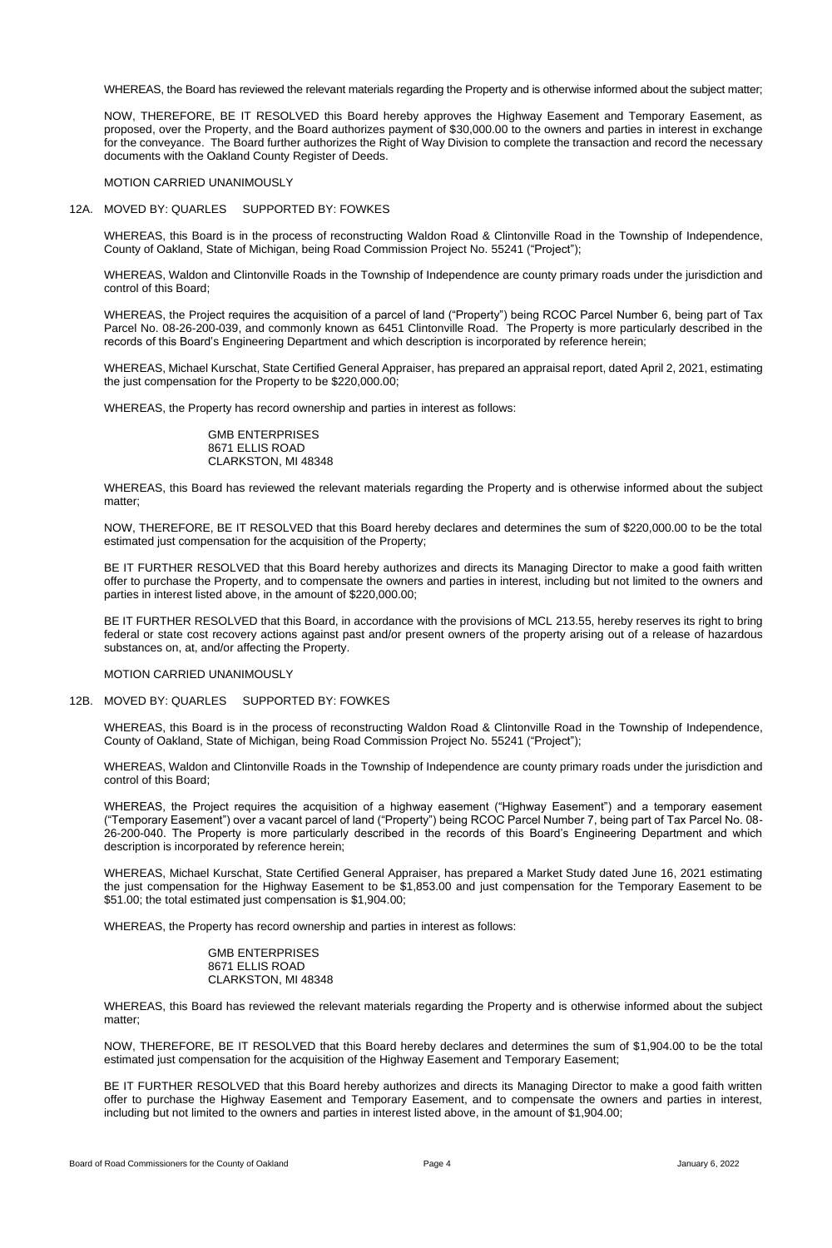WHEREAS, the Board has reviewed the relevant materials regarding the Property and is otherwise informed about the subject matter;

NOW, THEREFORE, BE IT RESOLVED this Board hereby approves the Highway Easement and Temporary Easement, as proposed, over the Property, and the Board authorizes payment of \$30,000.00 to the owners and parties in interest in exchange for the conveyance. The Board further authorizes the Right of Way Division to complete the transaction and record the necessary documents with the Oakland County Register of Deeds.

MOTION CARRIED UNANIMOUSLY

### 12A. MOVED BY: QUARLES SUPPORTED BY: FOWKES

WHEREAS, this Board is in the process of reconstructing Waldon Road & Clintonville Road in the Township of Independence, County of Oakland, State of Michigan, being Road Commission Project No. 55241 ("Project");

WHEREAS, Waldon and Clintonville Roads in the Township of Independence are county primary roads under the jurisdiction and control of this Board;

WHEREAS, the Project requires the acquisition of a parcel of land ("Property") being RCOC Parcel Number 6, being part of Tax Parcel No. 08-26-200-039, and commonly known as 6451 Clintonville Road. The Property is more particularly described in the records of this Board's Engineering Department and which description is incorporated by reference herein;

WHEREAS, Michael Kurschat, State Certified General Appraiser, has prepared an appraisal report, dated April 2, 2021, estimating the just compensation for the Property to be \$220,000.00;

WHEREAS, the Property has record ownership and parties in interest as follows:

GMB ENTERPRISES 8671 ELLIS ROAD CLARKSTON, MI 48348

WHEREAS, this Board has reviewed the relevant materials regarding the Property and is otherwise informed about the subject matter;

NOW, THEREFORE, BE IT RESOLVED that this Board hereby declares and determines the sum of \$220,000.00 to be the total estimated just compensation for the acquisition of the Property;

BE IT FURTHER RESOLVED that this Board hereby authorizes and directs its Managing Director to make a good faith written offer to purchase the Property, and to compensate the owners and parties in interest, including but not limited to the owners and parties in interest listed above, in the amount of \$220,000.00;

BE IT FURTHER RESOLVED that this Board, in accordance with the provisions of MCL 213.55, hereby reserves its right to bring federal or state cost recovery actions against past and/or present owners of the property arising out of a release of hazardous substances on, at, and/or affecting the Property.

#### MOTION CARRIED UNANIMOUSLY

### 12B. MOVED BY: QUARLES SUPPORTED BY: FOWKES

WHEREAS, this Board is in the process of reconstructing Waldon Road & Clintonville Road in the Township of Independence, County of Oakland, State of Michigan, being Road Commission Project No. 55241 ("Project");

WHEREAS, Waldon and Clintonville Roads in the Township of Independence are county primary roads under the jurisdiction and control of this Board;

WHEREAS, the Project requires the acquisition of a highway easement ("Highway Easement") and a temporary easement ("Temporary Easement") over a vacant parcel of land ("Property") being RCOC Parcel Number 7, being part of Tax Parcel No. 08- 26-200-040. The Property is more particularly described in the records of this Board's Engineering Department and which description is incorporated by reference herein;

WHEREAS, Michael Kurschat, State Certified General Appraiser, has prepared a Market Study dated June 16, 2021 estimating the just compensation for the Highway Easement to be \$1,853.00 and just compensation for the Temporary Easement to be \$51.00; the total estimated just compensation is \$1,904.00;

WHEREAS, the Property has record ownership and parties in interest as follows:

GMB ENTERPRISES 8671 ELLIS ROAD CLARKSTON, MI 48348

WHEREAS, this Board has reviewed the relevant materials regarding the Property and is otherwise informed about the subject matter;

NOW, THEREFORE, BE IT RESOLVED that this Board hereby declares and determines the sum of \$1,904.00 to be the total estimated just compensation for the acquisition of the Highway Easement and Temporary Easement;

BE IT FURTHER RESOLVED that this Board hereby authorizes and directs its Managing Director to make a good faith written offer to purchase the Highway Easement and Temporary Easement, and to compensate the owners and parties in interest, including but not limited to the owners and parties in interest listed above, in the amount of \$1,904.00;

Board of Road Commissioners for the County of Oakland **Page 4** Page 4 January 6, 2022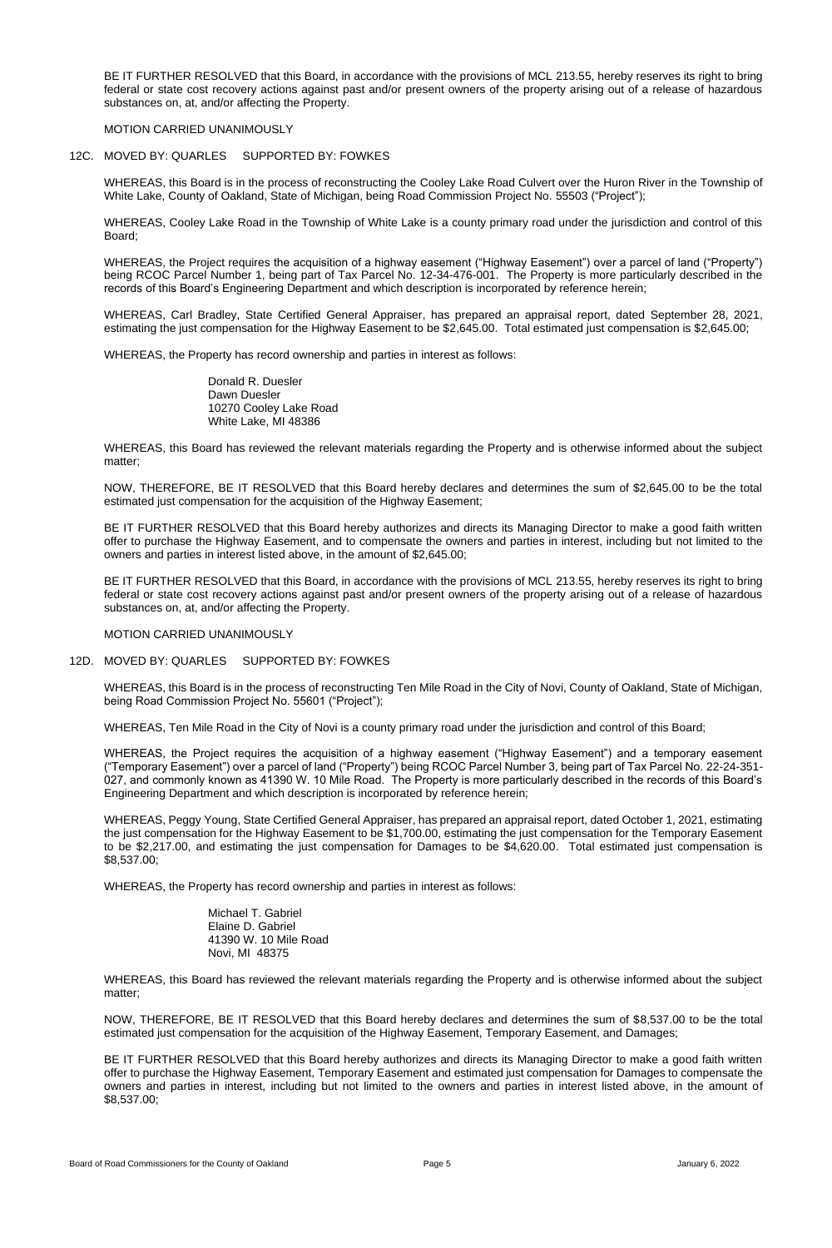WHEREAS, this Board is in the process of reconstructing the Cooley Lake Road Culvert over the Huron River in the Township of White Lake, County of Oakland, State of Michigan, being Road Commission Project No. 55503 ("Project");

BE IT FURTHER RESOLVED that this Board, in accordance with the provisions of MCL 213.55, hereby reserves its right to bring federal or state cost recovery actions against past and/or present owners of the property arising out of a release of hazardous substances on, at, and/or affecting the Property.

# MOTION CARRIED UNANIMOUSLY

# 12C. MOVED BY: QUARLES SUPPORTED BY: FOWKES

WHEREAS, Cooley Lake Road in the Township of White Lake is a county primary road under the jurisdiction and control of this Board;

WHEREAS, the Project requires the acquisition of a highway easement ("Highway Easement") over a parcel of land ("Property") being RCOC Parcel Number 1, being part of Tax Parcel No. 12-34-476-001. The Property is more particularly described in the records of this Board's Engineering Department and which description is incorporated by reference herein;

BE IT FURTHER RESOLVED that this Board hereby authorizes and directs its Managing Director to make a good faith written offer to purchase the Highway Easement, and to compensate the owners and parties in interest, including but not limited to the owners and parties in interest listed above, in the amount of \$2,645.00;

WHEREAS, Carl Bradley, State Certified General Appraiser, has prepared an appraisal report, dated September 28, 2021, estimating the just compensation for the Highway Easement to be \$2,645.00. Total estimated just compensation is \$2,645.00;

WHEREAS, the Property has record ownership and parties in interest as follows:

Donald R. Duesler Dawn Duesler 10270 Cooley Lake Road White Lake, MI 48386

WHEREAS, this Board has reviewed the relevant materials regarding the Property and is otherwise informed about the subject matter;

NOW, THEREFORE, BE IT RESOLVED that this Board hereby declares and determines the sum of \$2,645.00 to be the total estimated just compensation for the acquisition of the Highway Easement;

BE IT FURTHER RESOLVED that this Board, in accordance with the provisions of MCL 213.55, hereby reserves its right to bring federal or state cost recovery actions against past and/or present owners of the property arising out of a release of hazardous substances on, at, and/or affecting the Property.

MOTION CARRIED UNANIMOUSLY

# 12D. MOVED BY: QUARLES SUPPORTED BY: FOWKES

WHEREAS, this Board is in the process of reconstructing Ten Mile Road in the City of Novi, County of Oakland, State of Michigan, being Road Commission Project No. 55601 ("Project");

WHEREAS, Ten Mile Road in the City of Novi is a county primary road under the jurisdiction and control of this Board;

WHEREAS, the Project requires the acquisition of a highway easement ("Highway Easement") and a temporary easement ("Temporary Easement") over a parcel of land ("Property") being RCOC Parcel Number 3, being part of Tax Parcel No. 22-24-351- 027, and commonly known as 41390 W. 10 Mile Road. The Property is more particularly described in the records of this Board's Engineering Department and which description is incorporated by reference herein;

WHEREAS, Peggy Young, State Certified General Appraiser, has prepared an appraisal report, dated October 1, 2021, estimating the just compensation for the Highway Easement to be \$1,700.00, estimating the just compensation for the Temporary Easement to be \$2,217.00, and estimating the just compensation for Damages to be \$4,620.00. Total estimated just compensation is \$8,537.00;

WHEREAS, the Property has record ownership and parties in interest as follows:

Michael T. Gabriel Elaine D. Gabriel 41390 W. 10 Mile Road Novi, MI 48375

WHEREAS, this Board has reviewed the relevant materials regarding the Property and is otherwise informed about the subject matter;

NOW, THEREFORE, BE IT RESOLVED that this Board hereby declares and determines the sum of \$8,537.00 to be the total estimated just compensation for the acquisition of the Highway Easement, Temporary Easement, and Damages;

BE IT FURTHER RESOLVED that this Board hereby authorizes and directs its Managing Director to make a good faith written offer to purchase the Highway Easement, Temporary Easement and estimated just compensation for Damages to compensate the owners and parties in interest, including but not limited to the owners and parties in interest listed above, in the amount of \$8,537.00;

Board of Road Commissioners for the County of Oakland **Page 5** Page 5 January 6, 2022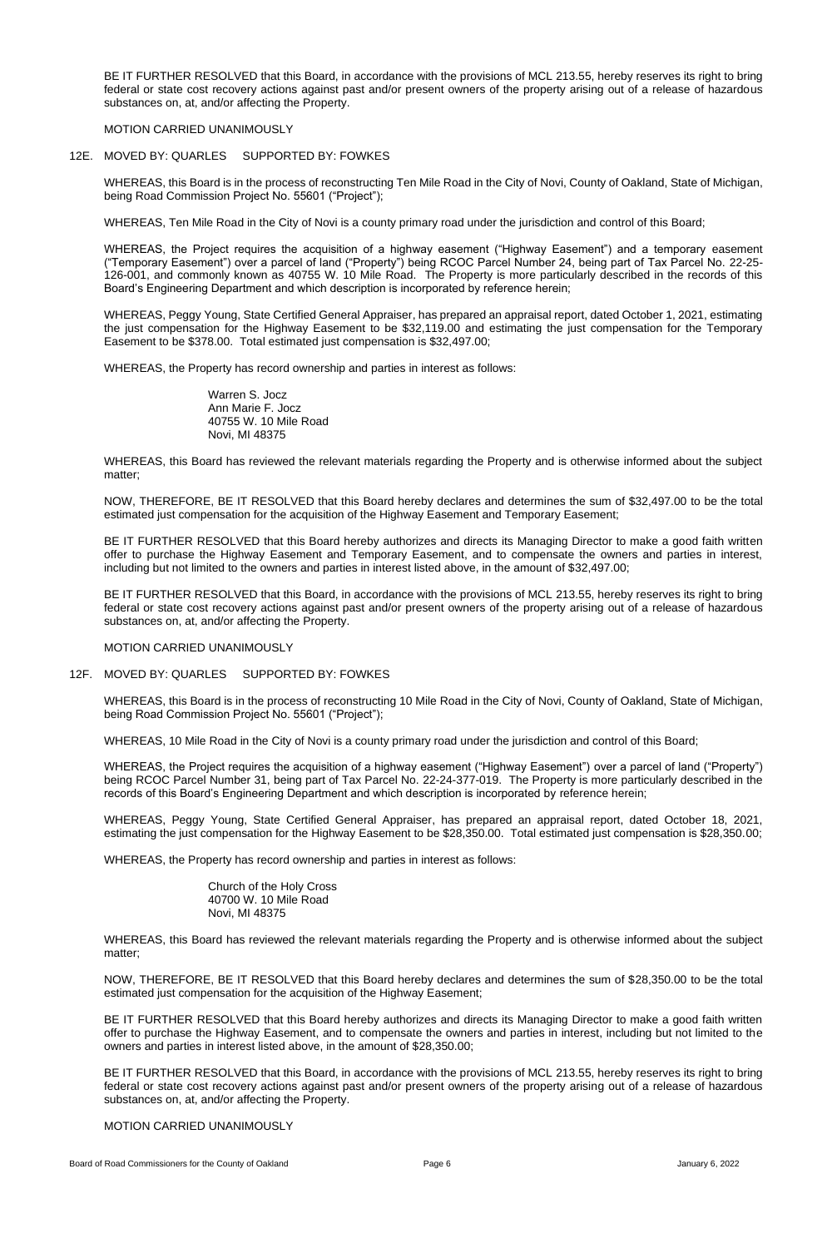BE IT FURTHER RESOLVED that this Board, in accordance with the provisions of MCL 213.55, hereby reserves its right to bring federal or state cost recovery actions against past and/or present owners of the property arising out of a release of hazardous substances on, at, and/or affecting the Property.

# MOTION CARRIED UNANIMOUSLY

# 12E. MOVED BY: QUARLES SUPPORTED BY: FOWKES

WHEREAS, this Board is in the process of reconstructing Ten Mile Road in the City of Novi, County of Oakland, State of Michigan, being Road Commission Project No. 55601 ("Project");

WHEREAS, Ten Mile Road in the City of Novi is a county primary road under the jurisdiction and control of this Board;

WHEREAS, the Project requires the acquisition of a highway easement ("Highway Easement") and a temporary easement ("Temporary Easement") over a parcel of land ("Property") being RCOC Parcel Number 24, being part of Tax Parcel No. 22-25- 126-001, and commonly known as 40755 W. 10 Mile Road. The Property is more particularly described in the records of this Board's Engineering Department and which description is incorporated by reference herein;

WHEREAS, Peggy Young, State Certified General Appraiser, has prepared an appraisal report, dated October 1, 2021, estimating the just compensation for the Highway Easement to be \$32,119.00 and estimating the just compensation for the Temporary Easement to be \$378.00. Total estimated just compensation is \$32,497.00;

WHEREAS, the Property has record ownership and parties in interest as follows:

Warren S. Jocz Ann Marie F. Jocz 40755 W. 10 Mile Road Novi, MI 48375

WHEREAS, this Board has reviewed the relevant materials regarding the Property and is otherwise informed about the subject matter;

NOW, THEREFORE, BE IT RESOLVED that this Board hereby declares and determines the sum of \$32,497.00 to be the total estimated just compensation for the acquisition of the Highway Easement and Temporary Easement;

BE IT FURTHER RESOLVED that this Board hereby authorizes and directs its Managing Director to make a good faith written offer to purchase the Highway Easement and Temporary Easement, and to compensate the owners and parties in interest, including but not limited to the owners and parties in interest listed above, in the amount of \$32,497.00;

BE IT FURTHER RESOLVED that this Board, in accordance with the provisions of MCL 213.55, hereby reserves its right to bring federal or state cost recovery actions against past and/or present owners of the property arising out of a release of hazardous substances on, at, and/or affecting the Property.

MOTION CARRIED UNANIMOUSLY

# 12F. MOVED BY: QUARLES SUPPORTED BY: FOWKES

WHEREAS, this Board is in the process of reconstructing 10 Mile Road in the City of Novi, County of Oakland, State of Michigan, being Road Commission Project No. 55601 ("Project");

WHEREAS, 10 Mile Road in the City of Novi is a county primary road under the jurisdiction and control of this Board;

WHEREAS, the Project requires the acquisition of a highway easement ("Highway Easement") over a parcel of land ("Property") being RCOC Parcel Number 31, being part of Tax Parcel No. 22-24-377-019. The Property is more particularly described in the records of this Board's Engineering Department and which description is incorporated by reference herein;

WHEREAS, Peggy Young, State Certified General Appraiser, has prepared an appraisal report, dated October 18, 2021, estimating the just compensation for the Highway Easement to be \$28,350.00. Total estimated just compensation is \$28,350.00;

WHEREAS, the Property has record ownership and parties in interest as follows:

Church of the Holy Cross 40700 W. 10 Mile Road Novi, MI 48375

WHEREAS, this Board has reviewed the relevant materials regarding the Property and is otherwise informed about the subject matter;

NOW, THEREFORE, BE IT RESOLVED that this Board hereby declares and determines the sum of \$28,350.00 to be the total estimated just compensation for the acquisition of the Highway Easement;

BE IT FURTHER RESOLVED that this Board hereby authorizes and directs its Managing Director to make a good faith written offer to purchase the Highway Easement, and to compensate the owners and parties in interest, including but not limited to the owners and parties in interest listed above, in the amount of \$28,350.00;

BE IT FURTHER RESOLVED that this Board, in accordance with the provisions of MCL 213.55, hereby reserves its right to bring federal or state cost recovery actions against past and/or present owners of the property arising out of a release of hazardous substances on, at, and/or affecting the Property.

MOTION CARRIED UNANIMOUSLY

Board of Road Commissioners for the County of Oakland **Page 6** Page 6 January 6, 2022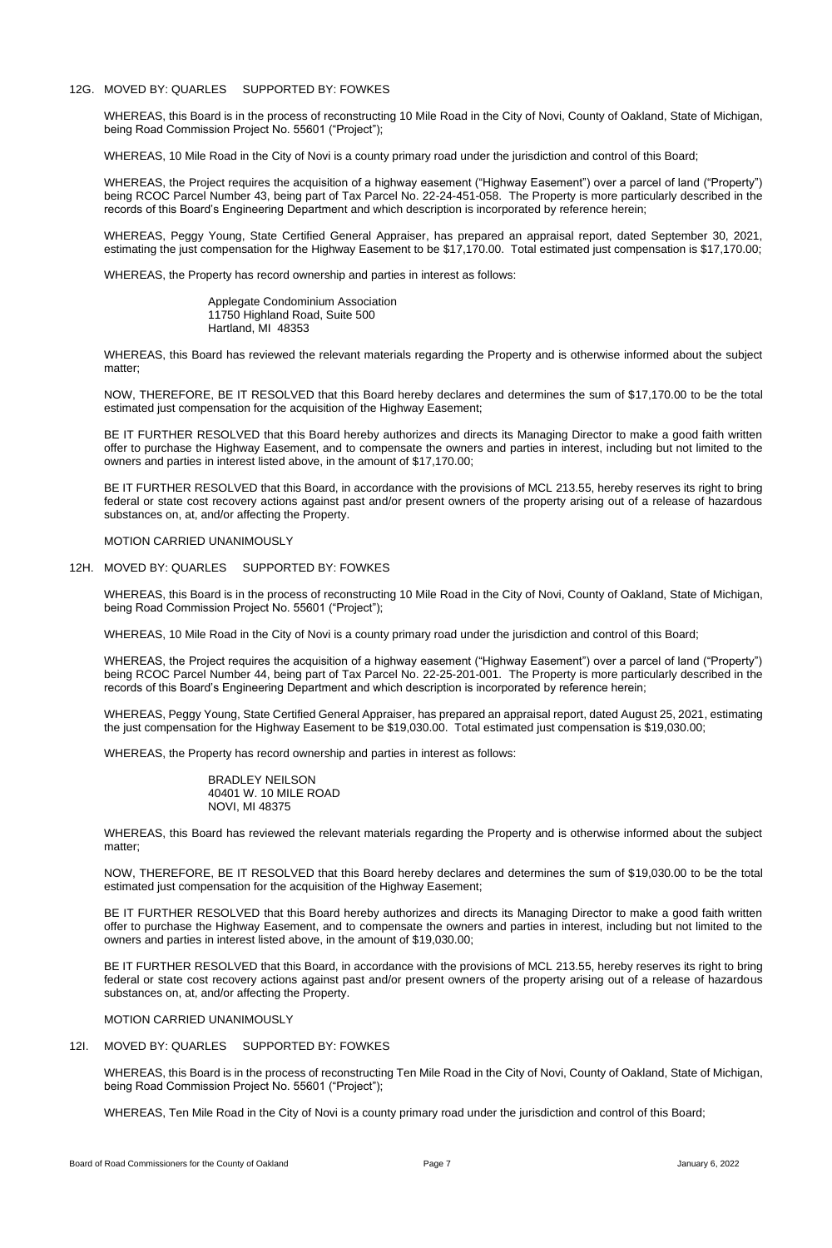# 12G. MOVED BY: QUARLES SUPPORTED BY: FOWKES

WHEREAS, this Board is in the process of reconstructing 10 Mile Road in the City of Novi, County of Oakland, State of Michigan, being Road Commission Project No. 55601 ("Project");

WHEREAS, 10 Mile Road in the City of Novi is a county primary road under the jurisdiction and control of this Board;

WHEREAS, the Project requires the acquisition of a highway easement ("Highway Easement") over a parcel of land ("Property") being RCOC Parcel Number 43, being part of Tax Parcel No. 22-24-451-058. The Property is more particularly described in the records of this Board's Engineering Department and which description is incorporated by reference herein;

WHEREAS, Peggy Young, State Certified General Appraiser, has prepared an appraisal report, dated September 30, 2021, estimating the just compensation for the Highway Easement to be \$17,170.00. Total estimated just compensation is \$17,170.00;

BE IT FURTHER RESOLVED that this Board hereby authorizes and directs its Managing Director to make a good faith written offer to purchase the Highway Easement, and to compensate the owners and parties in interest, including but not limited to the owners and parties in interest listed above, in the amount of \$17,170.00;

WHEREAS, the Property has record ownership and parties in interest as follows:

Applegate Condominium Association 11750 Highland Road, Suite 500 Hartland, MI 48353

WHEREAS, this Board has reviewed the relevant materials regarding the Property and is otherwise informed about the subject matter;

NOW, THEREFORE, BE IT RESOLVED that this Board hereby declares and determines the sum of \$17,170.00 to be the total estimated just compensation for the acquisition of the Highway Easement;

BE IT FURTHER RESOLVED that this Board, in accordance with the provisions of MCL 213.55, hereby reserves its right to bring federal or state cost recovery actions against past and/or present owners of the property arising out of a release of hazardous substances on, at, and/or affecting the Property.

MOTION CARRIED UNANIMOUSLY

12H. MOVED BY: QUARLES SUPPORTED BY: FOWKES

WHEREAS, this Board is in the process of reconstructing 10 Mile Road in the City of Novi, County of Oakland, State of Michigan, being Road Commission Project No. 55601 ("Project");

WHEREAS, 10 Mile Road in the City of Novi is a county primary road under the jurisdiction and control of this Board;

WHEREAS, the Project requires the acquisition of a highway easement ("Highway Easement") over a parcel of land ("Property") being RCOC Parcel Number 44, being part of Tax Parcel No. 22-25-201-001. The Property is more particularly described in the records of this Board's Engineering Department and which description is incorporated by reference herein;

WHEREAS, Peggy Young, State Certified General Appraiser, has prepared an appraisal report, dated August 25, 2021, estimating the just compensation for the Highway Easement to be \$19,030.00. Total estimated just compensation is \$19,030.00;

WHEREAS, the Property has record ownership and parties in interest as follows:

BRADLEY NEILSON 40401 W. 10 MILE ROAD NOVI, MI 48375

WHEREAS, this Board has reviewed the relevant materials regarding the Property and is otherwise informed about the subject matter;

NOW, THEREFORE, BE IT RESOLVED that this Board hereby declares and determines the sum of \$19,030.00 to be the total estimated just compensation for the acquisition of the Highway Easement;

BE IT FURTHER RESOLVED that this Board hereby authorizes and directs its Managing Director to make a good faith written offer to purchase the Highway Easement, and to compensate the owners and parties in interest, including but not limited to the owners and parties in interest listed above, in the amount of \$19,030.00;

BE IT FURTHER RESOLVED that this Board, in accordance with the provisions of MCL 213.55, hereby reserves its right to bring federal or state cost recovery actions against past and/or present owners of the property arising out of a release of hazardous substances on, at, and/or affecting the Property.

MOTION CARRIED UNANIMOUSLY

12I. MOVED BY: QUARLES SUPPORTED BY: FOWKES

WHEREAS, this Board is in the process of reconstructing Ten Mile Road in the City of Novi, County of Oakland, State of Michigan, being Road Commission Project No. 55601 ("Project");

WHEREAS, Ten Mile Road in the City of Novi is a county primary road under the jurisdiction and control of this Board;

Board of Road Commissioners for the County of Oakland **Page 7** Page 7 **Page 7** January 6, 2022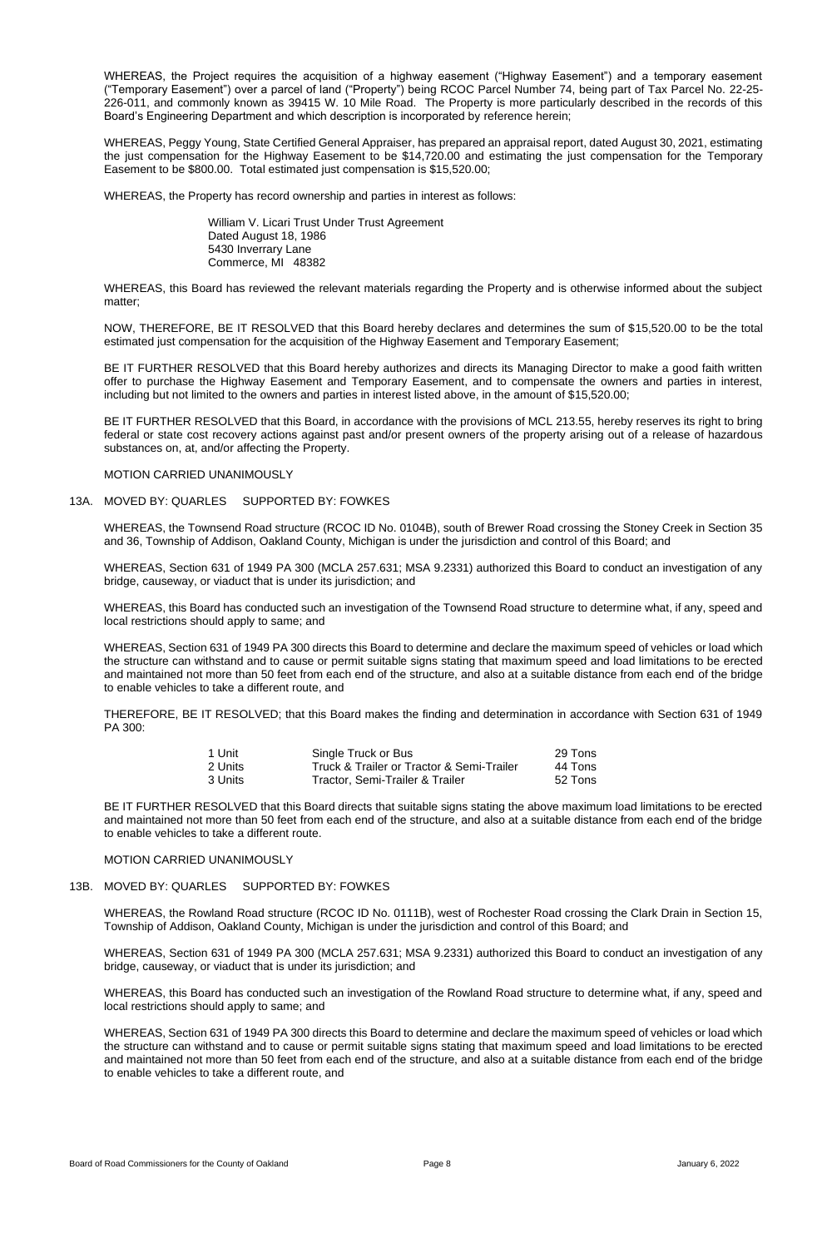WHEREAS, the Project requires the acquisition of a highway easement ("Highway Easement") and a temporary easement ("Temporary Easement") over a parcel of land ("Property") being RCOC Parcel Number 74, being part of Tax Parcel No. 22-25- 226-011, and commonly known as 39415 W. 10 Mile Road. The Property is more particularly described in the records of this Board's Engineering Department and which description is incorporated by reference herein;

WHEREAS, Peggy Young, State Certified General Appraiser, has prepared an appraisal report, dated August 30, 2021, estimating the just compensation for the Highway Easement to be \$14,720.00 and estimating the just compensation for the Temporary Easement to be \$800.00. Total estimated just compensation is \$15,520.00;

BE IT FURTHER RESOLVED that this Board hereby authorizes and directs its Managing Director to make a good faith written offer to purchase the Highway Easement and Temporary Easement, and to compensate the owners and parties in interest, including but not limited to the owners and parties in interest listed above, in the amount of \$15,520.00;

WHEREAS, the Property has record ownership and parties in interest as follows:

William V. Licari Trust Under Trust Agreement Dated August 18, 1986 5430 Inverrary Lane Commerce, MI 48382

WHEREAS, this Board has reviewed the relevant materials regarding the Property and is otherwise informed about the subject matter;

NOW, THEREFORE, BE IT RESOLVED that this Board hereby declares and determines the sum of \$15,520.00 to be the total estimated just compensation for the acquisition of the Highway Easement and Temporary Easement;

BE IT FURTHER RESOLVED that this Board, in accordance with the provisions of MCL 213.55, hereby reserves its right to bring federal or state cost recovery actions against past and/or present owners of the property arising out of a release of hazardous substances on, at, and/or affecting the Property.

MOTION CARRIED UNANIMOUSLY

# 13A. MOVED BY: QUARLES SUPPORTED BY: FOWKES

WHEREAS, the Townsend Road structure (RCOC ID No. 0104B), south of Brewer Road crossing the Stoney Creek in Section 35 and 36, Township of Addison, Oakland County, Michigan is under the jurisdiction and control of this Board; and

WHEREAS, Section 631 of 1949 PA 300 (MCLA 257.631; MSA 9.2331) authorized this Board to conduct an investigation of any bridge, causeway, or viaduct that is under its jurisdiction; and

WHEREAS, this Board has conducted such an investigation of the Townsend Road structure to determine what, if any, speed and local restrictions should apply to same; and

WHEREAS, Section 631 of 1949 PA 300 directs this Board to determine and declare the maximum speed of vehicles or load which the structure can withstand and to cause or permit suitable signs stating that maximum speed and load limitations to be erected and maintained not more than 50 feet from each end of the structure, and also at a suitable distance from each end of the bridge to enable vehicles to take a different route, and

THEREFORE, BE IT RESOLVED; that this Board makes the finding and determination in accordance with Section 631 of 1949 PA 300:

| 1 Unit  | Single Truck or Bus                       | 29 Tons |
|---------|-------------------------------------------|---------|
| 2 Units | Truck & Trailer or Tractor & Semi-Trailer | 44 Tons |
| 3 Units | Tractor, Semi-Trailer & Trailer           | 52 Tons |

BE IT FURTHER RESOLVED that this Board directs that suitable signs stating the above maximum load limitations to be erected and maintained not more than 50 feet from each end of the structure, and also at a suitable distance from each end of the bridge to enable vehicles to take a different route.

#### MOTION CARRIED UNANIMOUSLY

# 13B. MOVED BY: QUARLES SUPPORTED BY: FOWKES

WHEREAS, the Rowland Road structure (RCOC ID No. 0111B), west of Rochester Road crossing the Clark Drain in Section 15, Township of Addison, Oakland County, Michigan is under the jurisdiction and control of this Board; and

WHEREAS, Section 631 of 1949 PA 300 (MCLA 257.631; MSA 9.2331) authorized this Board to conduct an investigation of any bridge, causeway, or viaduct that is under its jurisdiction; and

WHEREAS, this Board has conducted such an investigation of the Rowland Road structure to determine what, if any, speed and local restrictions should apply to same; and

WHEREAS, Section 631 of 1949 PA 300 directs this Board to determine and declare the maximum speed of vehicles or load which the structure can withstand and to cause or permit suitable signs stating that maximum speed and load limitations to be erected and maintained not more than 50 feet from each end of the structure, and also at a suitable distance from each end of the bridge to enable vehicles to take a different route, and

Board of Road Commissioners for the County of Oakland **Page 8** Page 8 January 6, 2022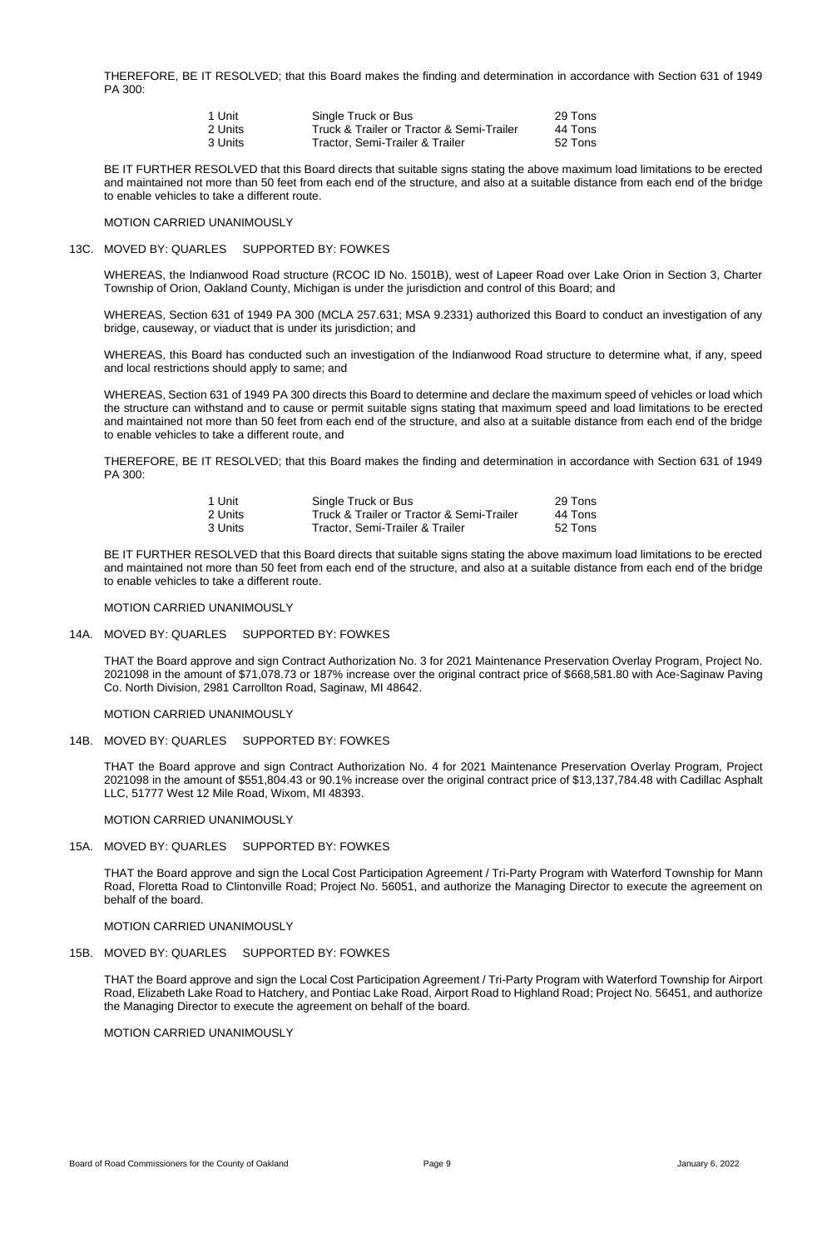THEREFORE, BE IT RESOLVED; that this Board makes the finding and determination in accordance with Section 631 of 1949 PA 300:

| 1 Unit  | Single Truck or Bus                       | 29 Tons |
|---------|-------------------------------------------|---------|
| 2 Units | Truck & Trailer or Tractor & Semi-Trailer | 44 Tons |
| 3 Units | Tractor, Semi-Trailer & Trailer           | 52 Tons |

BE IT FURTHER RESOLVED that this Board directs that suitable signs stating the above maximum load limitations to be erected and maintained not more than 50 feet from each end of the structure, and also at a suitable distance from each end of the bridge to enable vehicles to take a different route.

#### MOTION CARRIED UNANIMOUSLY

### 13C. MOVED BY: QUARLES SUPPORTED BY: FOWKES

WHEREAS, the Indianwood Road structure (RCOC ID No. 1501B), west of Lapeer Road over Lake Orion in Section 3, Charter Township of Orion, Oakland County, Michigan is under the jurisdiction and control of this Board; and

WHEREAS, Section 631 of 1949 PA 300 (MCLA 257.631; MSA 9.2331) authorized this Board to conduct an investigation of any bridge, causeway, or viaduct that is under its jurisdiction; and

WHEREAS, this Board has conducted such an investigation of the Indianwood Road structure to determine what, if any, speed and local restrictions should apply to same; and

WHEREAS, Section 631 of 1949 PA 300 directs this Board to determine and declare the maximum speed of vehicles or load which the structure can withstand and to cause or permit suitable signs stating that maximum speed and load limitations to be erected and maintained not more than 50 feet from each end of the structure, and also at a suitable distance from each end of the bridge to enable vehicles to take a different route, and

THEREFORE, BE IT RESOLVED; that this Board makes the finding and determination in accordance with Section 631 of 1949 PA 300:

| 1 Unit  | Single Truck or Bus                       | 29 Tons |
|---------|-------------------------------------------|---------|
| 2 Units | Truck & Trailer or Tractor & Semi-Trailer | 44 Tons |
| 3 Units | Tractor, Semi-Trailer & Trailer           | 52 Tons |

BE IT FURTHER RESOLVED that this Board directs that suitable signs stating the above maximum load limitations to be erected and maintained not more than 50 feet from each end of the structure, and also at a suitable distance from each end of the bridge to enable vehicles to take a different route.

#### MOTION CARRIED UNANIMOUSLY

# 14A. MOVED BY: QUARLES SUPPORTED BY: FOWKES

THAT the Board approve and sign Contract Authorization No. 3 for 2021 Maintenance Preservation Overlay Program, Project No. 2021098 in the amount of \$71,078.73 or 187% increase over the original contract price of \$668,581.80 with Ace-Saginaw Paving Co. North Division, 2981 Carrollton Road, Saginaw, MI 48642.

MOTION CARRIED UNANIMOUSLY

# 14B. MOVED BY: QUARLES SUPPORTED BY: FOWKES

THAT the Board approve and sign Contract Authorization No. 4 for 2021 Maintenance Preservation Overlay Program, Project 2021098 in the amount of \$551,804.43 or 90.1% increase over the original contract price of \$13,137,784.48 with Cadillac Asphalt LLC, 51777 West 12 Mile Road, Wixom, MI 48393.

#### MOTION CARRIED UNANIMOUSLY

# 15A. MOVED BY: QUARLES SUPPORTED BY: FOWKES

THAT the Board approve and sign the Local Cost Participation Agreement / Tri-Party Program with Waterford Township for Mann Road, Floretta Road to Clintonville Road; Project No. 56051, and authorize the Managing Director to execute the agreement on behalf of the board.

MOTION CARRIED UNANIMOUSLY

# 15B. MOVED BY: QUARLES SUPPORTED BY: FOWKES

THAT the Board approve and sign the Local Cost Participation Agreement / Tri-Party Program with Waterford Township for Airport Road, Elizabeth Lake Road to Hatchery, and Pontiac Lake Road, Airport Road to Highland Road; Project No. 56451, and authorize the Managing Director to execute the agreement on behalf of the board.

MOTION CARRIED UNANIMOUSLY

Board of Road Commissioners for the County of Oakland **Page 9** Page 9 January 6, 2022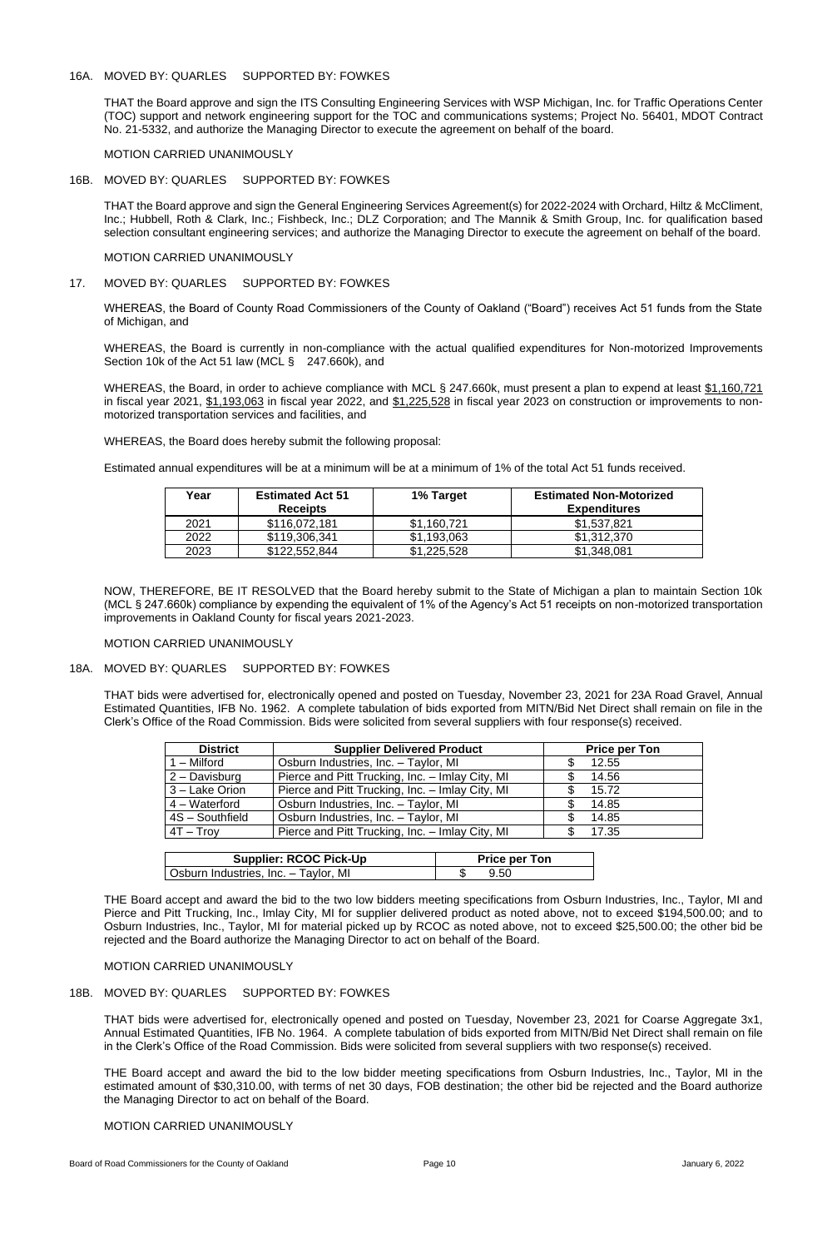# 16A. MOVED BY: QUARLES SUPPORTED BY: FOWKES

THAT the Board approve and sign the ITS Consulting Engineering Services with WSP Michigan, Inc. for Traffic Operations Center (TOC) support and network engineering support for the TOC and communications systems; Project No. 56401, MDOT Contract No. 21-5332, and authorize the Managing Director to execute the agreement on behalf of the board.

MOTION CARRIED UNANIMOUSLY

# 16B. MOVED BY: QUARLES SUPPORTED BY: FOWKES

THAT the Board approve and sign the General Engineering Services Agreement(s) for 2022-2024 with Orchard, Hiltz & McCliment, Inc.; Hubbell, Roth & Clark, Inc.; Fishbeck, Inc.; DLZ Corporation; and The Mannik & Smith Group, Inc. for qualification based selection consultant engineering services; and authorize the Managing Director to execute the agreement on behalf of the board.

# MOTION CARRIED UNANIMOUSLY

# 17. MOVED BY: QUARLES SUPPORTED BY: FOWKES

WHEREAS, the Board of County Road Commissioners of the County of Oakland ("Board") receives Act 51 funds from the State of Michigan, and

WHEREAS, the Board is currently in non-compliance with the actual qualified expenditures for Non-motorized Improvements Section 10k of the Act 51 law (MCL § 247.660k), and

WHEREAS, the Board, in order to achieve compliance with MCL § 247.660k, must present a plan to expend at least \$1,160,721 in fiscal year 2021, \$1,193,063 in fiscal year 2022, and \$1,225,528 in fiscal year 2023 on construction or improvements to nonmotorized transportation services and facilities, and

WHEREAS, the Board does hereby submit the following proposal:

Estimated annual expenditures will be at a minimum will be at a minimum of 1% of the total Act 51 funds received.

| Year | <b>Estimated Act 51</b><br><b>Receipts</b> | 1% Target   | <b>Estimated Non-Motorized</b><br><b>Expenditures</b> |
|------|--------------------------------------------|-------------|-------------------------------------------------------|
| 2021 | \$116.072.181                              | \$1,160,721 | \$1,537,821                                           |
| 2022 | \$119,306,341                              | \$1,193,063 | \$1,312,370                                           |
| 2023 | \$122,552,844                              | \$1,225,528 | \$1,348,081                                           |

NOW, THEREFORE, BE IT RESOLVED that the Board hereby submit to the State of Michigan a plan to maintain Section 10k (MCL § 247.660k) compliance by expending the equivalent of 1% of the Agency's Act 51 receipts on non-motorized transportation improvements in Oakland County for fiscal years 2021-2023.

# MOTION CARRIED UNANIMOUSLY

# 18A. MOVED BY: QUARLES SUPPORTED BY: FOWKES

THAT bids were advertised for, electronically opened and posted on Tuesday, November 23, 2021 for 23A Road Gravel, Annual Estimated Quantities, IFB No. 1962. A complete tabulation of bids exported from MITN/Bid Net Direct shall remain on file in the Clerk's Office of the Road Commission. Bids were solicited from several suppliers with four response(s) received.

| <b>District</b> | <b>Supplier Delivered Product</b>               | <b>Price per Ton</b> |
|-----------------|-------------------------------------------------|----------------------|
| 1 – Milford     | Osburn Industries, Inc. - Taylor, MI            | 12.55                |
| 2 - Davisburg   | Pierce and Pitt Trucking, Inc. - Imlay City, MI | 14.56                |
| 3 - Lake Orion  | Pierce and Pitt Trucking, Inc. - Imlay City, MI | 15.72                |
| $4 - Waterford$ | Osburn Industries, Inc. - Taylor, MI            | 14.85<br>\$          |
| 4S - Southfield | Osburn Industries, Inc. - Taylor, MI            | 14.85<br>S           |
| $4T - Troy$     | Pierce and Pitt Trucking, Inc. - Imlay City, MI | 17.35                |

| <b>Supplier: RCOC Pick-Up</b> | <b>Price per Ton</b> |
|-------------------------------|----------------------|
|                               |                      |

THE Board accept and award the bid to the two low bidders meeting specifications from Osburn Industries, Inc., Taylor, MI and Pierce and Pitt Trucking, Inc., Imlay City, MI for supplier delivered product as noted above, not to exceed \$194,500.00; and to Osburn Industries, Inc., Taylor, MI for material picked up by RCOC as noted above, not to exceed \$25,500.00; the other bid be rejected and the Board authorize the Managing Director to act on behalf of the Board.

MOTION CARRIED UNANIMOUSLY

# 18B. MOVED BY: QUARLES SUPPORTED BY: FOWKES

THAT bids were advertised for, electronically opened and posted on Tuesday, November 23, 2021 for Coarse Aggregate 3x1, Annual Estimated Quantities, IFB No. 1964. A complete tabulation of bids exported from MITN/Bid Net Direct shall remain on file in the Clerk's Office of the Road Commission. Bids were solicited from several suppliers with two response(s) received.

THE Board accept and award the bid to the low bidder meeting specifications from Osburn Industries, Inc., Taylor, MI in the estimated amount of \$30,310.00, with terms of net 30 days, FOB destination; the other bid be rejected and the Board authorize the Managing Director to act on behalf of the Board.

MOTION CARRIED UNANIMOUSLY

Board of Road Commissioners for the County of Oakland **Page 10** Page 10 **Page 10** January 6, 2022